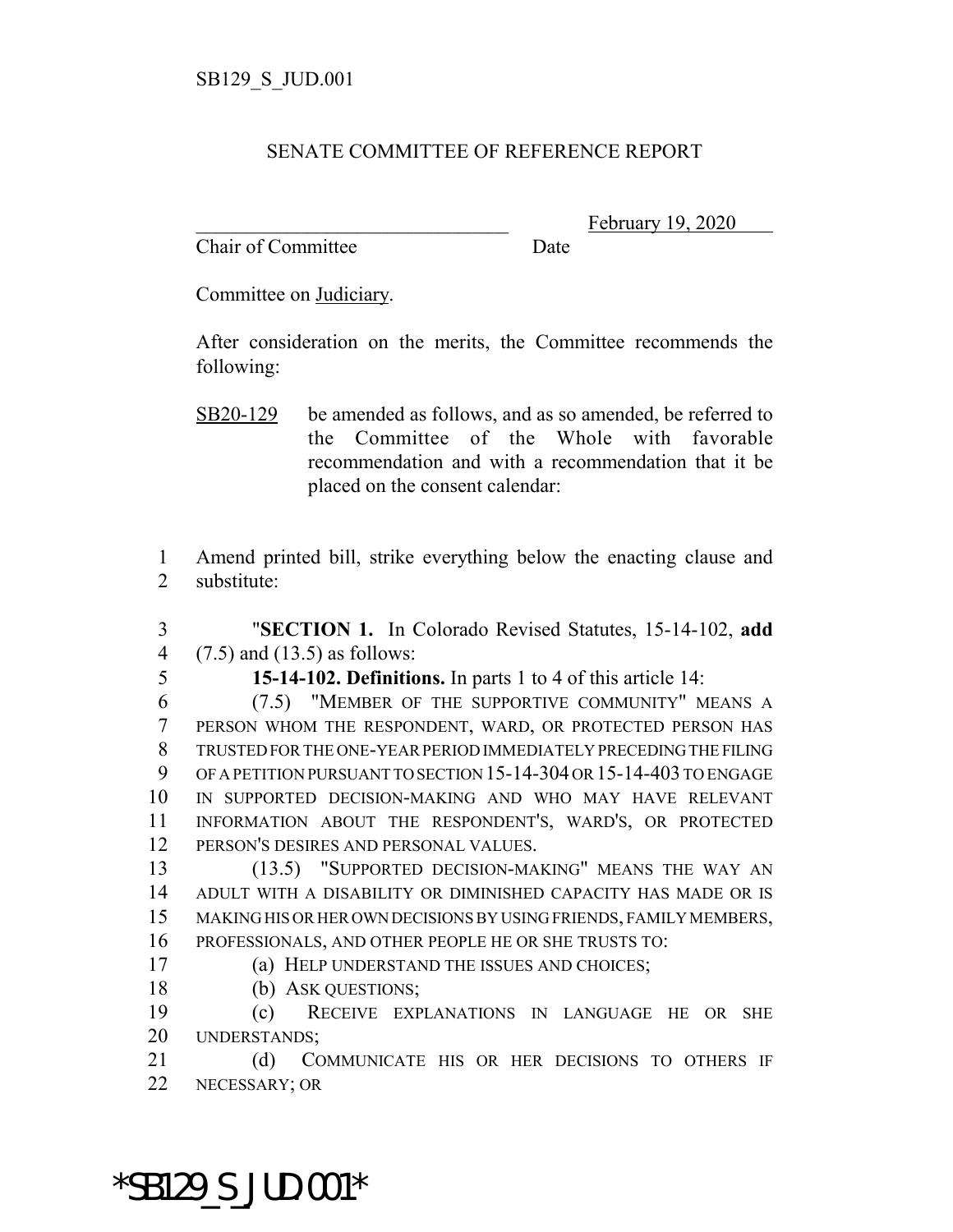## SENATE COMMITTEE OF REFERENCE REPORT

Chair of Committee Date

February 19, 2020

Committee on Judiciary.

After consideration on the merits, the Committee recommends the following:

 Amend printed bill, strike everything below the enacting clause and substitute:

 "**SECTION 1.** In Colorado Revised Statutes, 15-14-102, **add** (7.5) and (13.5) as follows:

**15-14-102. Definitions.** In parts 1 to 4 of this article 14:

 (7.5) "MEMBER OF THE SUPPORTIVE COMMUNITY" MEANS A PERSON WHOM THE RESPONDENT, WARD, OR PROTECTED PERSON HAS TRUSTED FOR THE ONE-YEAR PERIOD IMMEDIATELY PRECEDING THE FILING OF A PETITION PURSUANT TO SECTION 15-14-304 OR 15-14-403 TO ENGAGE IN SUPPORTED DECISION-MAKING AND WHO MAY HAVE RELEVANT INFORMATION ABOUT THE RESPONDENT'S, WARD'S, OR PROTECTED PERSON'S DESIRES AND PERSONAL VALUES.

 (13.5) "SUPPORTED DECISION-MAKING" MEANS THE WAY AN ADULT WITH A DISABILITY OR DIMINISHED CAPACITY HAS MADE OR IS MAKING HIS OR HER OWN DECISIONS BY USING FRIENDS, FAMILY MEMBERS, PROFESSIONALS, AND OTHER PEOPLE HE OR SHE TRUSTS TO:

(a) HELP UNDERSTAND THE ISSUES AND CHOICES;

(b) ASK QUESTIONS;

 (c) RECEIVE EXPLANATIONS IN LANGUAGE HE OR SHE UNDERSTANDS;

21 (d) COMMUNICATE HIS OR HER DECISIONS TO OTHERS IF NECESSARY; OR

\*SB129\_S\_JUD.001\*

SB20-129 be amended as follows, and as so amended, be referred to the Committee of the Whole with favorable recommendation and with a recommendation that it be placed on the consent calendar: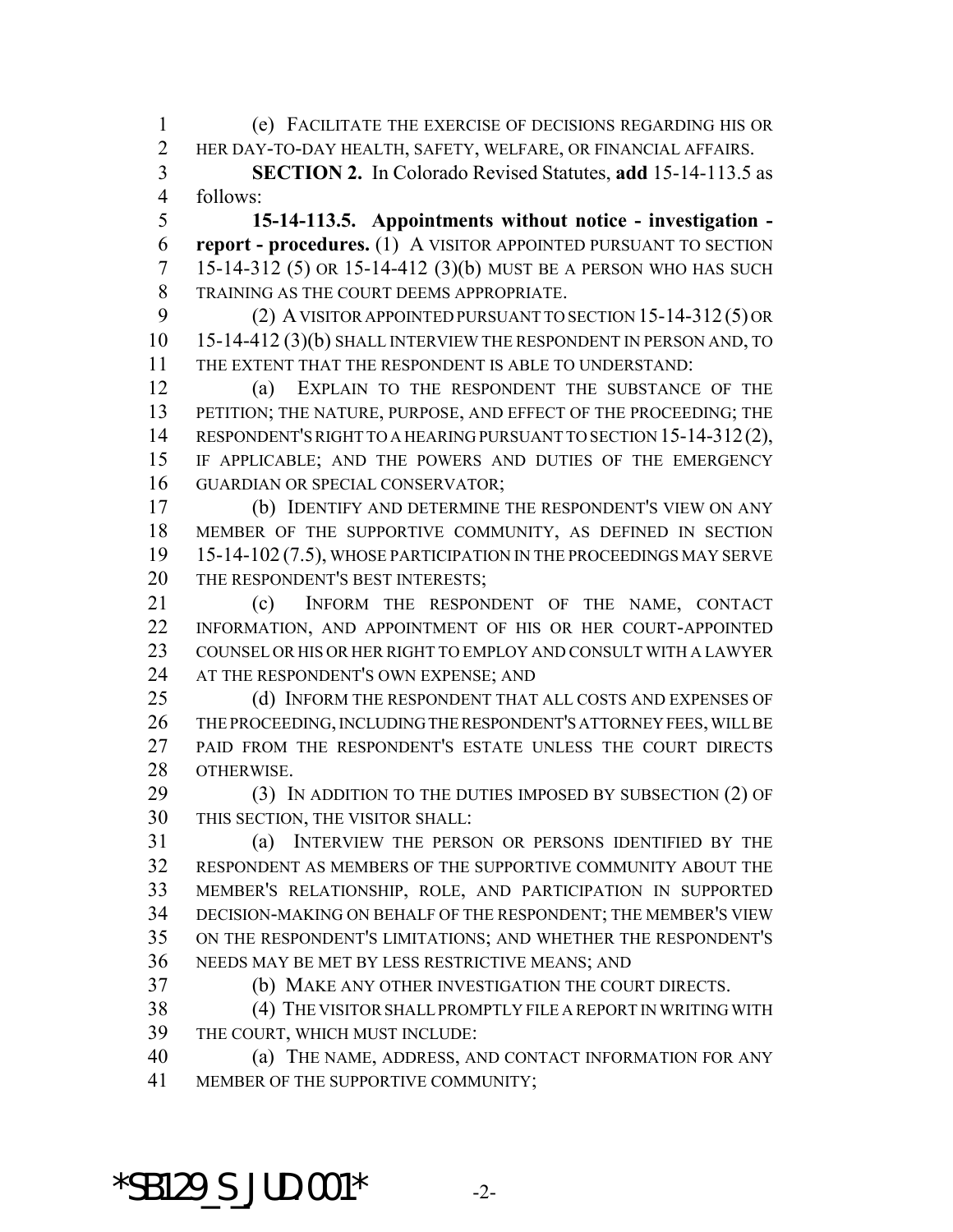(e) FACILITATE THE EXERCISE OF DECISIONS REGARDING HIS OR HER DAY-TO-DAY HEALTH, SAFETY, WELFARE, OR FINANCIAL AFFAIRS.

 **SECTION 2.** In Colorado Revised Statutes, **add** 15-14-113.5 as follows:

 **15-14-113.5. Appointments without notice - investigation - report - procedures.** (1) A VISITOR APPOINTED PURSUANT TO SECTION 15-14-312 (5) OR 15-14-412 (3)(b) MUST BE A PERSON WHO HAS SUCH TRAINING AS THE COURT DEEMS APPROPRIATE.

 (2) A VISITOR APPOINTED PURSUANT TO SECTION 15-14-312 (5) OR 15-14-412 (3)(b) SHALL INTERVIEW THE RESPONDENT IN PERSON AND, TO THE EXTENT THAT THE RESPONDENT IS ABLE TO UNDERSTAND:

 (a) EXPLAIN TO THE RESPONDENT THE SUBSTANCE OF THE PETITION; THE NATURE, PURPOSE, AND EFFECT OF THE PROCEEDING; THE 14 RESPONDENT'S RIGHT TO A HEARING PURSUANT TO SECTION 15-14-312(2), IF APPLICABLE; AND THE POWERS AND DUTIES OF THE EMERGENCY GUARDIAN OR SPECIAL CONSERVATOR;

 (b) IDENTIFY AND DETERMINE THE RESPONDENT'S VIEW ON ANY MEMBER OF THE SUPPORTIVE COMMUNITY, AS DEFINED IN SECTION 15-14-102 (7.5), WHOSE PARTICIPATION IN THE PROCEEDINGS MAY SERVE 20 THE RESPONDENT'S BEST INTERESTS;

 (c) INFORM THE RESPONDENT OF THE NAME, CONTACT INFORMATION, AND APPOINTMENT OF HIS OR HER COURT-APPOINTED COUNSEL OR HIS OR HER RIGHT TO EMPLOY AND CONSULT WITH A LAWYER AT THE RESPONDENT'S OWN EXPENSE; AND

25 (d) INFORM THE RESPONDENT THAT ALL COSTS AND EXPENSES OF THE PROCEEDING, INCLUDING THE RESPONDENT'S ATTORNEY FEES, WILL BE 27 PAID FROM THE RESPONDENT'S ESTATE UNLESS THE COURT DIRECTS OTHERWISE.

29 (3) IN ADDITION TO THE DUTIES IMPOSED BY SUBSECTION (2) OF THIS SECTION, THE VISITOR SHALL:

 (a) INTERVIEW THE PERSON OR PERSONS IDENTIFIED BY THE RESPONDENT AS MEMBERS OF THE SUPPORTIVE COMMUNITY ABOUT THE MEMBER'S RELATIONSHIP, ROLE, AND PARTICIPATION IN SUPPORTED DECISION-MAKING ON BEHALF OF THE RESPONDENT; THE MEMBER'S VIEW ON THE RESPONDENT'S LIMITATIONS; AND WHETHER THE RESPONDENT'S NEEDS MAY BE MET BY LESS RESTRICTIVE MEANS; AND

(b) MAKE ANY OTHER INVESTIGATION THE COURT DIRECTS.

 (4) THE VISITOR SHALL PROMPTLY FILE A REPORT IN WRITING WITH THE COURT, WHICH MUST INCLUDE:

 (a) THE NAME, ADDRESS, AND CONTACT INFORMATION FOR ANY MEMBER OF THE SUPPORTIVE COMMUNITY;

\*SB129 S JUD.001\*  $-2$ -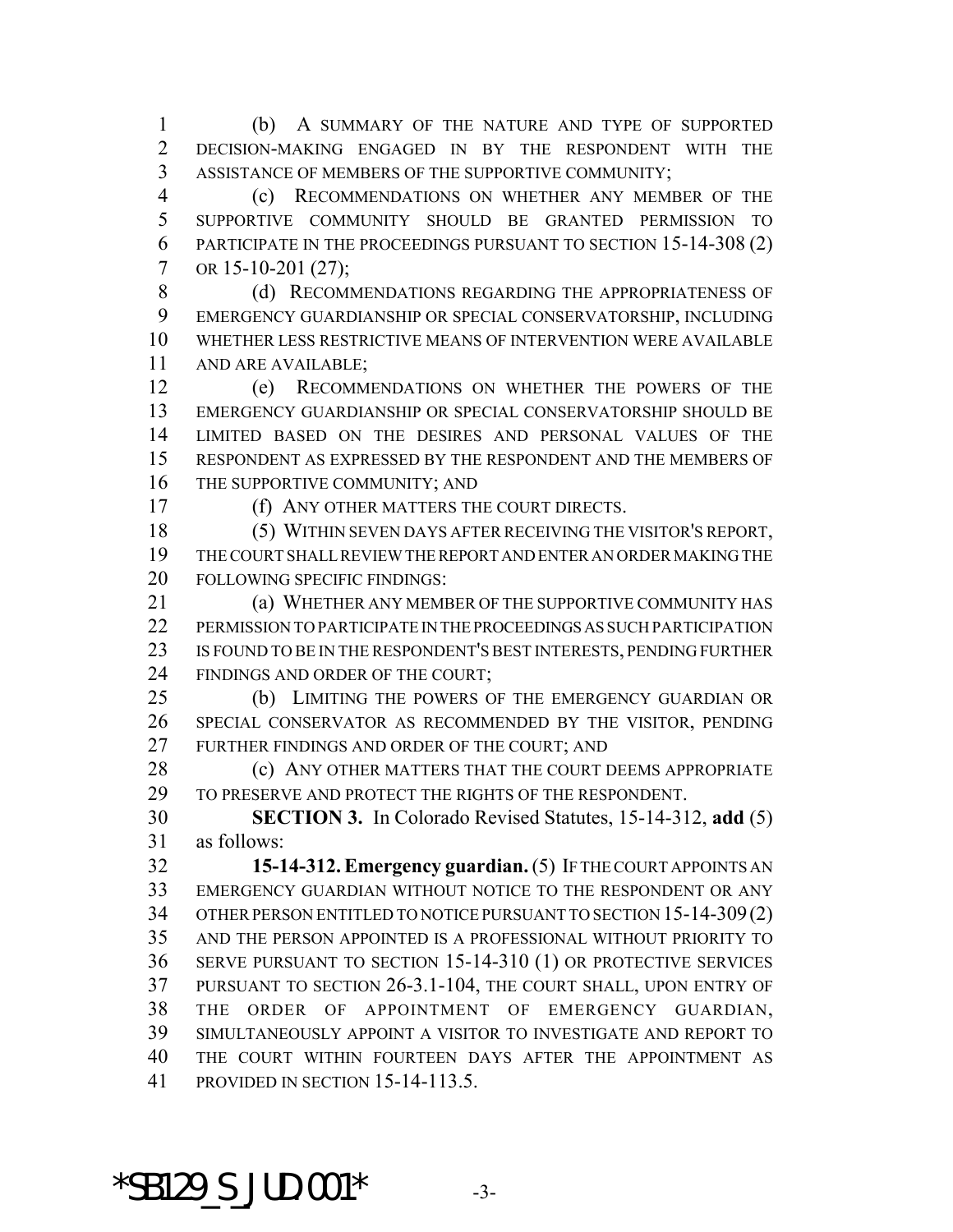(b) A SUMMARY OF THE NATURE AND TYPE OF SUPPORTED DECISION-MAKING ENGAGED IN BY THE RESPONDENT WITH THE ASSISTANCE OF MEMBERS OF THE SUPPORTIVE COMMUNITY;

 (c) RECOMMENDATIONS ON WHETHER ANY MEMBER OF THE SUPPORTIVE COMMUNITY SHOULD BE GRANTED PERMISSION TO PARTICIPATE IN THE PROCEEDINGS PURSUANT TO SECTION 15-14-308 (2) 7 OR 15-10-201 (27);

8 (d) RECOMMENDATIONS REGARDING THE APPROPRIATENESS OF EMERGENCY GUARDIANSHIP OR SPECIAL CONSERVATORSHIP, INCLUDING WHETHER LESS RESTRICTIVE MEANS OF INTERVENTION WERE AVAILABLE AND ARE AVAILABLE;

 (e) RECOMMENDATIONS ON WHETHER THE POWERS OF THE EMERGENCY GUARDIANSHIP OR SPECIAL CONSERVATORSHIP SHOULD BE LIMITED BASED ON THE DESIRES AND PERSONAL VALUES OF THE RESPONDENT AS EXPRESSED BY THE RESPONDENT AND THE MEMBERS OF 16 THE SUPPORTIVE COMMUNITY; AND

(f) ANY OTHER MATTERS THE COURT DIRECTS.

 (5) WITHIN SEVEN DAYS AFTER RECEIVING THE VISITOR'S REPORT, THE COURT SHALL REVIEW THE REPORT AND ENTER AN ORDER MAKING THE FOLLOWING SPECIFIC FINDINGS:

**(a) WHETHER ANY MEMBER OF THE SUPPORTIVE COMMUNITY HAS** 22 PERMISSION TO PARTICIPATE IN THE PROCEEDINGS AS SUCH PARTICIPATION IS FOUND TO BE IN THE RESPONDENT'S BEST INTERESTS, PENDING FURTHER 24 FINDINGS AND ORDER OF THE COURT;

 (b) LIMITING THE POWERS OF THE EMERGENCY GUARDIAN OR SPECIAL CONSERVATOR AS RECOMMENDED BY THE VISITOR, PENDING FURTHER FINDINGS AND ORDER OF THE COURT; AND

**(c) ANY OTHER MATTERS THAT THE COURT DEEMS APPROPRIATE** 29 TO PRESERVE AND PROTECT THE RIGHTS OF THE RESPONDENT.

 **SECTION 3.** In Colorado Revised Statutes, 15-14-312, **add** (5) as follows:

 **15-14-312. Emergency guardian.** (5) IF THE COURT APPOINTS AN EMERGENCY GUARDIAN WITHOUT NOTICE TO THE RESPONDENT OR ANY OTHER PERSON ENTITLED TO NOTICE PURSUANT TO SECTION 15-14-309(2) AND THE PERSON APPOINTED IS A PROFESSIONAL WITHOUT PRIORITY TO SERVE PURSUANT TO SECTION 15-14-310 (1) OR PROTECTIVE SERVICES PURSUANT TO SECTION 26-3.1-104, THE COURT SHALL, UPON ENTRY OF THE ORDER OF APPOINTMENT OF EMERGENCY GUARDIAN, SIMULTANEOUSLY APPOINT A VISITOR TO INVESTIGATE AND REPORT TO THE COURT WITHIN FOURTEEN DAYS AFTER THE APPOINTMENT AS PROVIDED IN SECTION 15-14-113.5.

\*SB129 S JUD.001\*  $-3$ -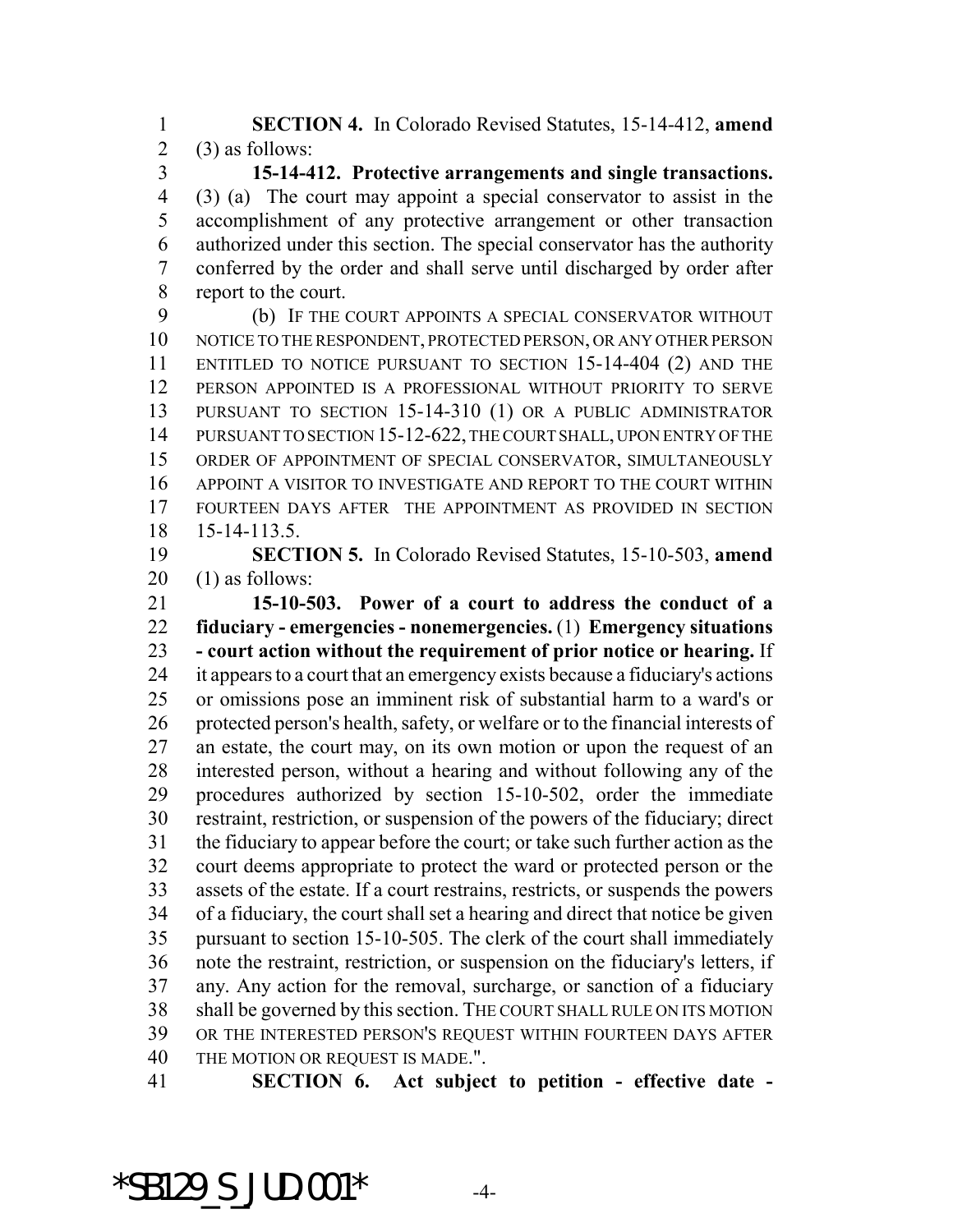**SECTION 4.** In Colorado Revised Statutes, 15-14-412, **amend** 2 (3) as follows:

 **15-14-412. Protective arrangements and single transactions.** (3) (a) The court may appoint a special conservator to assist in the accomplishment of any protective arrangement or other transaction authorized under this section. The special conservator has the authority conferred by the order and shall serve until discharged by order after report to the court.

 (b) IF THE COURT APPOINTS A SPECIAL CONSERVATOR WITHOUT NOTICE TO THE RESPONDENT, PROTECTED PERSON, OR ANY OTHER PERSON ENTITLED TO NOTICE PURSUANT TO SECTION 15-14-404 (2) AND THE PERSON APPOINTED IS A PROFESSIONAL WITHOUT PRIORITY TO SERVE PURSUANT TO SECTION 15-14-310 (1) OR A PUBLIC ADMINISTRATOR 14 PURSUANT TO SECTION 15-12-622, THE COURT SHALL, UPON ENTRY OF THE ORDER OF APPOINTMENT OF SPECIAL CONSERVATOR, SIMULTANEOUSLY APPOINT A VISITOR TO INVESTIGATE AND REPORT TO THE COURT WITHIN FOURTEEN DAYS AFTER THE APPOINTMENT AS PROVIDED IN SECTION 15-14-113.5.

 **SECTION 5.** In Colorado Revised Statutes, 15-10-503, **amend** (1) as follows:

 **15-10-503. Power of a court to address the conduct of a fiduciary - emergencies - nonemergencies.** (1) **Emergency situations - court action without the requirement of prior notice or hearing.** If it appears to a court that an emergency exists because a fiduciary's actions or omissions pose an imminent risk of substantial harm to a ward's or protected person's health, safety, or welfare or to the financial interests of an estate, the court may, on its own motion or upon the request of an interested person, without a hearing and without following any of the procedures authorized by section 15-10-502, order the immediate restraint, restriction, or suspension of the powers of the fiduciary; direct the fiduciary to appear before the court; or take such further action as the court deems appropriate to protect the ward or protected person or the assets of the estate. If a court restrains, restricts, or suspends the powers of a fiduciary, the court shall set a hearing and direct that notice be given pursuant to section 15-10-505. The clerk of the court shall immediately note the restraint, restriction, or suspension on the fiduciary's letters, if any. Any action for the removal, surcharge, or sanction of a fiduciary shall be governed by this section. THE COURT SHALL RULE ON ITS MOTION OR THE INTERESTED PERSON'S REQUEST WITHIN FOURTEEN DAYS AFTER THE MOTION OR REQUEST IS MADE.".

**SECTION 6. Act subject to petition - effective date -**

 $*$ SB129 S JUD.001 $*$  -4-